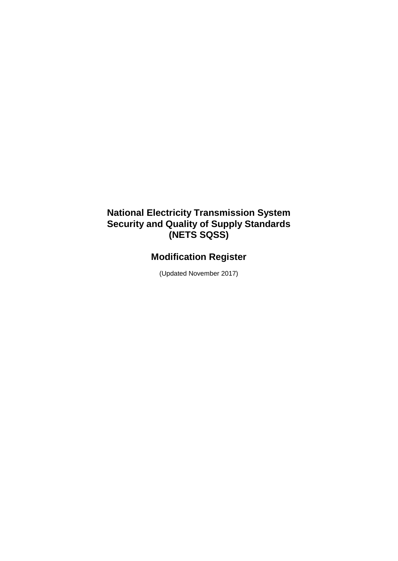## **National Electricity Transmission System Security and Quality of Supply Standards (NETS SQSS)**

# **Modification Register**

(Updated November 2017)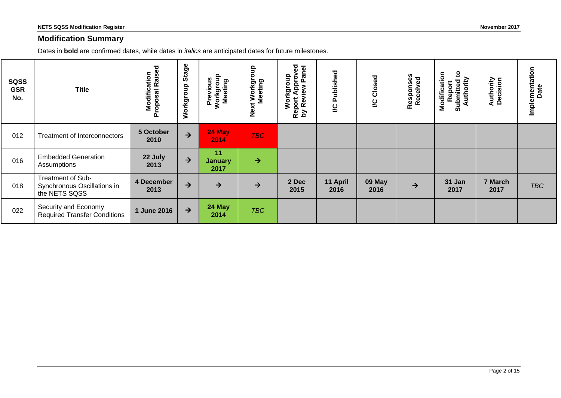#### **Modification Summary**

Dates in **bold** are confirmed dates, while dates in *italics* are anticipated dates for future milestones.

| <b>SQSS</b><br><b>GSR</b><br>No. | <b>Title</b>                                                      | <b>Modification</b><br>roposal Raised<br>Proposal | Stage<br>Workgroup | Previous<br>Workgroup<br>Meeting | 유<br>Next Workgrou<br>Meeting | yed<br>anel<br>Workgroup<br>Appro<br>$\mathbf{a}$<br>eview<br>Report<br>by Rev | Published<br>2   | Closed<br>$\overline{c}$ | Responses<br>Received | $\mathbf{c}$<br>Modification<br>Authority<br>Submitted<br>Report | <b>Authority</b><br>Decision | Implementation<br>Date |
|----------------------------------|-------------------------------------------------------------------|---------------------------------------------------|--------------------|----------------------------------|-------------------------------|--------------------------------------------------------------------------------|------------------|--------------------------|-----------------------|------------------------------------------------------------------|------------------------------|------------------------|
| 012                              | <b>Treatment of Interconnectors</b>                               | 5 October<br>2010                                 | $\rightarrow$      | 24 May<br>2014                   | <b>TBC</b>                    |                                                                                |                  |                          |                       |                                                                  |                              |                        |
| 016                              | <b>Embedded Generation</b><br>Assumptions                         | 22 July<br>2013                                   | $\rightarrow$      | 11<br><b>January</b><br>2017     | $\rightarrow$                 |                                                                                |                  |                          |                       |                                                                  |                              |                        |
| 018                              | Treatment of Sub-<br>Synchronous Oscillations in<br>the NETS SQSS | 4 December<br>2013                                | $\rightarrow$      | →                                | $\rightarrow$                 | 2 Dec<br>2015                                                                  | 11 April<br>2016 | 09 May<br>2016           | $\rightarrow$         | 31 Jan<br>2017                                                   | 7 March<br>2017              | <b>TBC</b>             |
| 022                              | Security and Economy<br><b>Required Transfer Conditions</b>       | 1 June 2016                                       | $\rightarrow$      | 24 May<br>2014                   | <b>TBC</b>                    |                                                                                |                  |                          |                       |                                                                  |                              |                        |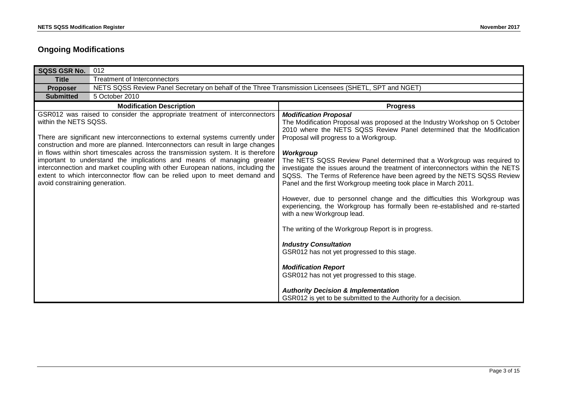### **Ongoing Modifications**

| <b>SQSS GSR No.</b>                                     | 012                                                                                                                                                                                                                                                                                                                                                                                                                                                                                                                                                                         |                                                                                                                                                                                                                                                                                                                                                                                                                                                                                                                                                                                                                                                                                                                                                                                                                                                                                                                                                                                                                                                                                         |
|---------------------------------------------------------|-----------------------------------------------------------------------------------------------------------------------------------------------------------------------------------------------------------------------------------------------------------------------------------------------------------------------------------------------------------------------------------------------------------------------------------------------------------------------------------------------------------------------------------------------------------------------------|-----------------------------------------------------------------------------------------------------------------------------------------------------------------------------------------------------------------------------------------------------------------------------------------------------------------------------------------------------------------------------------------------------------------------------------------------------------------------------------------------------------------------------------------------------------------------------------------------------------------------------------------------------------------------------------------------------------------------------------------------------------------------------------------------------------------------------------------------------------------------------------------------------------------------------------------------------------------------------------------------------------------------------------------------------------------------------------------|
| <b>Title</b>                                            | <b>Treatment of Interconnectors</b>                                                                                                                                                                                                                                                                                                                                                                                                                                                                                                                                         |                                                                                                                                                                                                                                                                                                                                                                                                                                                                                                                                                                                                                                                                                                                                                                                                                                                                                                                                                                                                                                                                                         |
| <b>Proposer</b>                                         | NETS SQSS Review Panel Secretary on behalf of the Three Transmission Licensees (SHETL, SPT and NGET)                                                                                                                                                                                                                                                                                                                                                                                                                                                                        |                                                                                                                                                                                                                                                                                                                                                                                                                                                                                                                                                                                                                                                                                                                                                                                                                                                                                                                                                                                                                                                                                         |
| <b>Submitted</b>                                        | 5 October 2010                                                                                                                                                                                                                                                                                                                                                                                                                                                                                                                                                              |                                                                                                                                                                                                                                                                                                                                                                                                                                                                                                                                                                                                                                                                                                                                                                                                                                                                                                                                                                                                                                                                                         |
|                                                         | <b>Modification Description</b>                                                                                                                                                                                                                                                                                                                                                                                                                                                                                                                                             | <b>Progress</b>                                                                                                                                                                                                                                                                                                                                                                                                                                                                                                                                                                                                                                                                                                                                                                                                                                                                                                                                                                                                                                                                         |
| within the NETS SQSS.<br>avoid constraining generation. | GSR012 was raised to consider the appropriate treatment of interconnectors<br>There are significant new interconnections to external systems currently under<br>construction and more are planned. Interconnectors can result in large changes<br>in flows within short timescales across the transmission system. It is therefore<br>important to understand the implications and means of managing greater<br>interconnection and market coupling with other European nations, including the<br>extent to which interconnector flow can be relied upon to meet demand and | <b>Modification Proposal</b><br>The Modification Proposal was proposed at the Industry Workshop on 5 October<br>2010 where the NETS SQSS Review Panel determined that the Modification<br>Proposal will progress to a Workgroup.<br>Workgroup<br>The NETS SQSS Review Panel determined that a Workgroup was required to<br>investigate the issues around the treatment of interconnectors within the NETS<br>SQSS. The Terms of Reference have been agreed by the NETS SQSS Review<br>Panel and the first Workgroup meeting took place in March 2011.<br>However, due to personnel change and the difficulties this Workgroup was<br>experiencing, the Workgroup has formally been re-established and re-started<br>with a new Workgroup lead.<br>The writing of the Workgroup Report is in progress.<br><b>Industry Consultation</b><br>GSR012 has not yet progressed to this stage.<br><b>Modification Report</b><br>GSR012 has not yet progressed to this stage.<br><b>Authority Decision &amp; Implementation</b><br>GSR012 is yet to be submitted to the Authority for a decision. |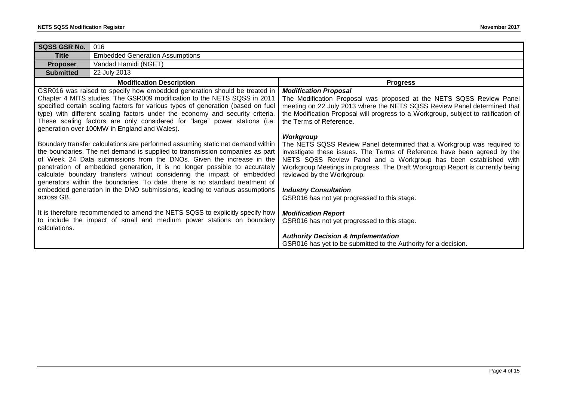| <b>SQSS GSR No.</b>                                                                                                                                                                                                                                                                                                                                                                                                                                                                                                                                                         | 016                                                                                                                                                  |                                                                                                                                                                                                                                                                                                                                                                                                                                    |
|-----------------------------------------------------------------------------------------------------------------------------------------------------------------------------------------------------------------------------------------------------------------------------------------------------------------------------------------------------------------------------------------------------------------------------------------------------------------------------------------------------------------------------------------------------------------------------|------------------------------------------------------------------------------------------------------------------------------------------------------|------------------------------------------------------------------------------------------------------------------------------------------------------------------------------------------------------------------------------------------------------------------------------------------------------------------------------------------------------------------------------------------------------------------------------------|
| <b>Title</b>                                                                                                                                                                                                                                                                                                                                                                                                                                                                                                                                                                | <b>Embedded Generation Assumptions</b>                                                                                                               |                                                                                                                                                                                                                                                                                                                                                                                                                                    |
| <b>Proposer</b>                                                                                                                                                                                                                                                                                                                                                                                                                                                                                                                                                             | Vandad Hamidi (NGET)                                                                                                                                 |                                                                                                                                                                                                                                                                                                                                                                                                                                    |
| <b>Submitted</b>                                                                                                                                                                                                                                                                                                                                                                                                                                                                                                                                                            | 22 July 2013                                                                                                                                         |                                                                                                                                                                                                                                                                                                                                                                                                                                    |
|                                                                                                                                                                                                                                                                                                                                                                                                                                                                                                                                                                             | <b>Modification Description</b>                                                                                                                      | <b>Progress</b>                                                                                                                                                                                                                                                                                                                                                                                                                    |
| GSR016 was raised to specify how embedded generation should be treated in<br>Chapter 4 MITS studies. The GSR009 modification to the NETS SQSS in 2011<br>specified certain scaling factors for various types of generation (based on fuel<br>type) with different scaling factors under the economy and security criteria.<br>These scaling factors are only considered for "large" power stations (i.e.<br>generation over 100MW in England and Wales).                                                                                                                    |                                                                                                                                                      | <b>Modification Proposal</b><br>The Modification Proposal was proposed at the NETS SQSS Review Panel<br>meeting on 22 July 2013 where the NETS SQSS Review Panel determined that<br>the Modification Proposal will progress to a Workgroup, subject to ratification of<br>the Terms of Reference.                                                                                                                                  |
| Boundary transfer calculations are performed assuming static net demand within<br>the boundaries. The net demand is supplied to transmission companies as part<br>of Week 24 Data submissions from the DNOs. Given the increase in the<br>penetration of embedded generation, it is no longer possible to accurately<br>calculate boundary transfers without considering the impact of embedded<br>generators within the boundaries. To date, there is no standard treatment of<br>embedded generation in the DNO submissions, leading to various assumptions<br>across GB. |                                                                                                                                                      | Workgroup<br>The NETS SQSS Review Panel determined that a Workgroup was required to<br>investigate these issues. The Terms of Reference have been agreed by the<br>NETS SQSS Review Panel and a Workgroup has been established with<br>Workgroup Meetings in progress. The Draft Workgroup Report is currently being<br>reviewed by the Workgroup.<br><b>Industry Consultation</b><br>GSR016 has not yet progressed to this stage. |
| calculations.                                                                                                                                                                                                                                                                                                                                                                                                                                                                                                                                                               | It is therefore recommended to amend the NETS SQSS to explicitly specify how<br>to include the impact of small and medium power stations on boundary | <b>Modification Report</b><br>GSR016 has not yet progressed to this stage.<br><b>Authority Decision &amp; Implementation</b><br>GSR016 has yet to be submitted to the Authority for a decision.                                                                                                                                                                                                                                    |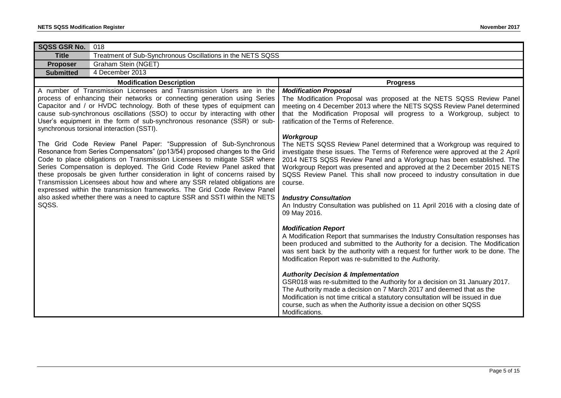| SQSS GSR No.                                                                                                                                                                                                                                                                                                                                                                                                                                                                                                                                                                                                                     | 018                                                        |                                                                                                                                                                                                                                                                                                                                                                                                                                                                                                                                                                                                                                                                                                                                                                                                                                |
|----------------------------------------------------------------------------------------------------------------------------------------------------------------------------------------------------------------------------------------------------------------------------------------------------------------------------------------------------------------------------------------------------------------------------------------------------------------------------------------------------------------------------------------------------------------------------------------------------------------------------------|------------------------------------------------------------|--------------------------------------------------------------------------------------------------------------------------------------------------------------------------------------------------------------------------------------------------------------------------------------------------------------------------------------------------------------------------------------------------------------------------------------------------------------------------------------------------------------------------------------------------------------------------------------------------------------------------------------------------------------------------------------------------------------------------------------------------------------------------------------------------------------------------------|
| <b>Title</b>                                                                                                                                                                                                                                                                                                                                                                                                                                                                                                                                                                                                                     | Treatment of Sub-Synchronous Oscillations in the NETS SQSS |                                                                                                                                                                                                                                                                                                                                                                                                                                                                                                                                                                                                                                                                                                                                                                                                                                |
| <b>Proposer</b>                                                                                                                                                                                                                                                                                                                                                                                                                                                                                                                                                                                                                  | Graham Stein (NGET)                                        |                                                                                                                                                                                                                                                                                                                                                                                                                                                                                                                                                                                                                                                                                                                                                                                                                                |
| <b>Submitted</b>                                                                                                                                                                                                                                                                                                                                                                                                                                                                                                                                                                                                                 | 4 December 2013                                            |                                                                                                                                                                                                                                                                                                                                                                                                                                                                                                                                                                                                                                                                                                                                                                                                                                |
|                                                                                                                                                                                                                                                                                                                                                                                                                                                                                                                                                                                                                                  | <b>Modification Description</b>                            | <b>Progress</b>                                                                                                                                                                                                                                                                                                                                                                                                                                                                                                                                                                                                                                                                                                                                                                                                                |
| A number of Transmission Licensees and Transmission Users are in the<br>process of enhancing their networks or connecting generation using Series<br>Capacitor and / or HVDC technology. Both of these types of equipment can<br>cause sub-synchronous oscillations (SSO) to occur by interacting with other<br>User's equipment in the form of sub-synchronous resonance (SSR) or sub-<br>synchronous torsional interaction (SSTI).                                                                                                                                                                                             |                                                            | <b>Modification Proposal</b><br>The Modification Proposal was proposed at the NETS SQSS Review Panel<br>meeting on 4 December 2013 where the NETS SQSS Review Panel determined<br>that the Modification Proposal will progress to a Workgroup, subject to<br>ratification of the Terms of Reference.                                                                                                                                                                                                                                                                                                                                                                                                                                                                                                                           |
| The Grid Code Review Panel Paper: "Suppression of Sub-Synchronous<br>Resonance from Series Compensators" (pp13/54) proposed changes to the Grid<br>Code to place obligations on Transmission Licensees to mitigate SSR where<br>Series Compensation is deployed. The Grid Code Review Panel asked that<br>these proposals be given further consideration in light of concerns raised by<br>Transmission Licensees about how and where any SSR related obligations are<br>expressed within the transmission frameworks. The Grid Code Review Panel<br>also asked whether there was a need to capture SSR and SSTI within the NETS |                                                            | Workgroup<br>The NETS SQSS Review Panel determined that a Workgroup was required to<br>investigate these issues. The Terms of Reference were approved at the 2 April<br>2014 NETS SQSS Review Panel and a Workgroup has been established. The<br>Workgroup Report was presented and approved at the 2 December 2015 NETS<br>SQSS Review Panel. This shall now proceed to industry consultation in due<br>course.<br><b>Industry Consultation</b>                                                                                                                                                                                                                                                                                                                                                                               |
| SQSS.                                                                                                                                                                                                                                                                                                                                                                                                                                                                                                                                                                                                                            |                                                            | An Industry Consultation was published on 11 April 2016 with a closing date of<br>09 May 2016.<br><b>Modification Report</b><br>A Modification Report that summarises the Industry Consultation responses has<br>been produced and submitted to the Authority for a decision. The Modification<br>was sent back by the authority with a request for further work to be done. The<br>Modification Report was re-submitted to the Authority.<br><b>Authority Decision &amp; Implementation</b><br>GSR018 was re-submitted to the Authority for a decision on 31 January 2017.<br>The Authority made a decision on 7 March 2017 and deemed that as the<br>Modification is not time critical a statutory consultation will be issued in due<br>course, such as when the Authority issue a decision on other SQSS<br>Modifications. |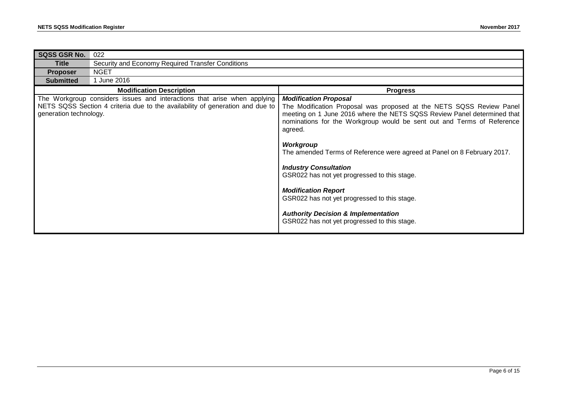| <b>SQSS GSR No.</b>    | 022                                                                                                                                                       |                                                                                                                                                                                                                                                                                                                                                                                                                                                                                                                                                                                                                              |  |
|------------------------|-----------------------------------------------------------------------------------------------------------------------------------------------------------|------------------------------------------------------------------------------------------------------------------------------------------------------------------------------------------------------------------------------------------------------------------------------------------------------------------------------------------------------------------------------------------------------------------------------------------------------------------------------------------------------------------------------------------------------------------------------------------------------------------------------|--|
| Title                  | Security and Economy Required Transfer Conditions                                                                                                         |                                                                                                                                                                                                                                                                                                                                                                                                                                                                                                                                                                                                                              |  |
| <b>Proposer</b>        | <b>NGET</b>                                                                                                                                               |                                                                                                                                                                                                                                                                                                                                                                                                                                                                                                                                                                                                                              |  |
| <b>Submitted</b>       | June 2016                                                                                                                                                 |                                                                                                                                                                                                                                                                                                                                                                                                                                                                                                                                                                                                                              |  |
|                        | <b>Modification Description</b>                                                                                                                           | <b>Progress</b>                                                                                                                                                                                                                                                                                                                                                                                                                                                                                                                                                                                                              |  |
| generation technology. | The Workgroup considers issues and interactions that arise when applying<br>NETS SQSS Section 4 criteria due to the availability of generation and due to | <b>Modification Proposal</b><br>The Modification Proposal was proposed at the NETS SQSS Review Panel<br>meeting on 1 June 2016 where the NETS SQSS Review Panel determined that<br>nominations for the Workgroup would be sent out and Terms of Reference<br>agreed.<br>Workgroup<br>The amended Terms of Reference were agreed at Panel on 8 February 2017.<br><b>Industry Consultation</b><br>GSR022 has not yet progressed to this stage.<br><b>Modification Report</b><br>GSR022 has not yet progressed to this stage.<br><b>Authority Decision &amp; Implementation</b><br>GSR022 has not yet progressed to this stage. |  |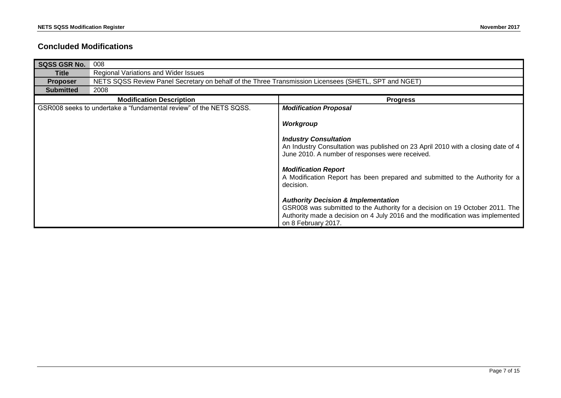### **Concluded Modifications**

| <b>SQSS GSR No.</b> | 008                                                                                                  |                                                                                                                                                                                                                                        |  |
|---------------------|------------------------------------------------------------------------------------------------------|----------------------------------------------------------------------------------------------------------------------------------------------------------------------------------------------------------------------------------------|--|
| <b>Title</b>        | Regional Variations and Wider Issues                                                                 |                                                                                                                                                                                                                                        |  |
| <b>Proposer</b>     | NETS SQSS Review Panel Secretary on behalf of the Three Transmission Licensees (SHETL, SPT and NGET) |                                                                                                                                                                                                                                        |  |
| <b>Submitted</b>    | 2008                                                                                                 |                                                                                                                                                                                                                                        |  |
|                     | <b>Modification Description</b>                                                                      | <b>Progress</b>                                                                                                                                                                                                                        |  |
|                     | GSR008 seeks to undertake a "fundamental review" of the NETS SQSS.                                   | <b>Modification Proposal</b>                                                                                                                                                                                                           |  |
|                     |                                                                                                      | Workgroup                                                                                                                                                                                                                              |  |
|                     |                                                                                                      | <b>Industry Consultation</b><br>An Industry Consultation was published on 23 April 2010 with a closing date of 4<br>June 2010. A number of responses were received.                                                                    |  |
|                     |                                                                                                      | <b>Modification Report</b><br>A Modification Report has been prepared and submitted to the Authority for a<br>decision.                                                                                                                |  |
|                     |                                                                                                      | <b>Authority Decision &amp; Implementation</b><br>GSR008 was submitted to the Authority for a decision on 19 October 2011. The<br>Authority made a decision on 4 July 2016 and the modification was implemented<br>on 8 February 2017. |  |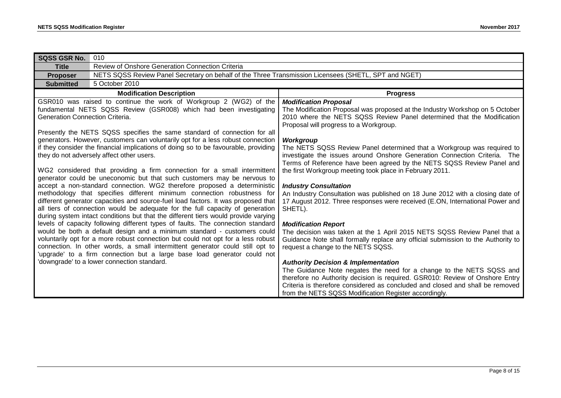| <b>SQSS GSR No.</b>             | 010                                                                                                                                                                                                                                                                                                                                                                                                                                                                                                                                                                                                                                                                                                                                                                                                                                                                                                                                                                                                                                                                                                                                                                                                                                                                                                                                                                                                                                                                                 |                                                                                                                                                                                                                                                                                                                                                                                                                                                                                                                                                                                                                                                                                                                                                                                                                                                                                                                                                                                                                                                                                                                                                                                                                                                                                                                                               |
|---------------------------------|-------------------------------------------------------------------------------------------------------------------------------------------------------------------------------------------------------------------------------------------------------------------------------------------------------------------------------------------------------------------------------------------------------------------------------------------------------------------------------------------------------------------------------------------------------------------------------------------------------------------------------------------------------------------------------------------------------------------------------------------------------------------------------------------------------------------------------------------------------------------------------------------------------------------------------------------------------------------------------------------------------------------------------------------------------------------------------------------------------------------------------------------------------------------------------------------------------------------------------------------------------------------------------------------------------------------------------------------------------------------------------------------------------------------------------------------------------------------------------------|-----------------------------------------------------------------------------------------------------------------------------------------------------------------------------------------------------------------------------------------------------------------------------------------------------------------------------------------------------------------------------------------------------------------------------------------------------------------------------------------------------------------------------------------------------------------------------------------------------------------------------------------------------------------------------------------------------------------------------------------------------------------------------------------------------------------------------------------------------------------------------------------------------------------------------------------------------------------------------------------------------------------------------------------------------------------------------------------------------------------------------------------------------------------------------------------------------------------------------------------------------------------------------------------------------------------------------------------------|
| <b>Title</b>                    | Review of Onshore Generation Connection Criteria                                                                                                                                                                                                                                                                                                                                                                                                                                                                                                                                                                                                                                                                                                                                                                                                                                                                                                                                                                                                                                                                                                                                                                                                                                                                                                                                                                                                                                    |                                                                                                                                                                                                                                                                                                                                                                                                                                                                                                                                                                                                                                                                                                                                                                                                                                                                                                                                                                                                                                                                                                                                                                                                                                                                                                                                               |
| <b>Proposer</b>                 | NETS SQSS Review Panel Secretary on behalf of the Three Transmission Licensees (SHETL, SPT and NGET)                                                                                                                                                                                                                                                                                                                                                                                                                                                                                                                                                                                                                                                                                                                                                                                                                                                                                                                                                                                                                                                                                                                                                                                                                                                                                                                                                                                |                                                                                                                                                                                                                                                                                                                                                                                                                                                                                                                                                                                                                                                                                                                                                                                                                                                                                                                                                                                                                                                                                                                                                                                                                                                                                                                                               |
| <b>Submitted</b>                | 5 October 2010                                                                                                                                                                                                                                                                                                                                                                                                                                                                                                                                                                                                                                                                                                                                                                                                                                                                                                                                                                                                                                                                                                                                                                                                                                                                                                                                                                                                                                                                      |                                                                                                                                                                                                                                                                                                                                                                                                                                                                                                                                                                                                                                                                                                                                                                                                                                                                                                                                                                                                                                                                                                                                                                                                                                                                                                                                               |
| <b>Modification Description</b> |                                                                                                                                                                                                                                                                                                                                                                                                                                                                                                                                                                                                                                                                                                                                                                                                                                                                                                                                                                                                                                                                                                                                                                                                                                                                                                                                                                                                                                                                                     | <b>Progress</b>                                                                                                                                                                                                                                                                                                                                                                                                                                                                                                                                                                                                                                                                                                                                                                                                                                                                                                                                                                                                                                                                                                                                                                                                                                                                                                                               |
| Generation Connection Criteria. | GSR010 was raised to continue the work of Workgroup 2 (WG2) of the<br>fundamental NETS SQSS Review (GSR008) which had been investigating<br>Presently the NETS SQSS specifies the same standard of connection for all<br>generators. However, customers can voluntarily opt for a less robust connection<br>if they consider the financial implications of doing so to be favourable, providing<br>they do not adversely affect other users.<br>WG2 considered that providing a firm connection for a small intermittent<br>generator could be uneconomic but that such customers may be nervous to<br>accept a non-standard connection. WG2 therefore proposed a deterministic<br>methodology that specifies different minimum connection robustness for<br>different generator capacities and source-fuel load factors. It was proposed that<br>all tiers of connection would be adequate for the full capacity of generation<br>during system intact conditions but that the different tiers would provide varying<br>levels of capacity following different types of faults. The connection standard<br>would be both a default design and a minimum standard - customers could<br>voluntarily opt for a more robust connection but could not opt for a less robust<br>connection. In other words, a small intermittent generator could still opt to<br>'upgrade' to a firm connection but a large base load generator could not<br>'downgrade' to a lower connection standard. | <b>Modification Proposal</b><br>The Modification Proposal was proposed at the Industry Workshop on 5 October<br>2010 where the NETS SQSS Review Panel determined that the Modification<br>Proposal will progress to a Workgroup.<br>Workgroup<br>The NETS SQSS Review Panel determined that a Workgroup was required to<br>investigate the issues around Onshore Generation Connection Criteria. The<br>Terms of Reference have been agreed by the NETS SQSS Review Panel and<br>the first Workgroup meeting took place in February 2011.<br><b>Industry Consultation</b><br>An Industry Consultation was published on 18 June 2012 with a closing date of<br>17 August 2012. Three responses were received (E.ON, International Power and<br>SHETL).<br><b>Modification Report</b><br>The decision was taken at the 1 April 2015 NETS SQSS Review Panel that a<br>Guidance Note shall formally replace any official submission to the Authority to<br>request a change to the NETS SQSS.<br><b>Authority Decision &amp; Implementation</b><br>The Guidance Note negates the need for a change to the NETS SQSS and<br>therefore no Authority decision is required. GSR010: Review of Onshore Entry<br>Criteria is therefore considered as concluded and closed and shall be removed<br>from the NETS SQSS Modification Register accordingly. |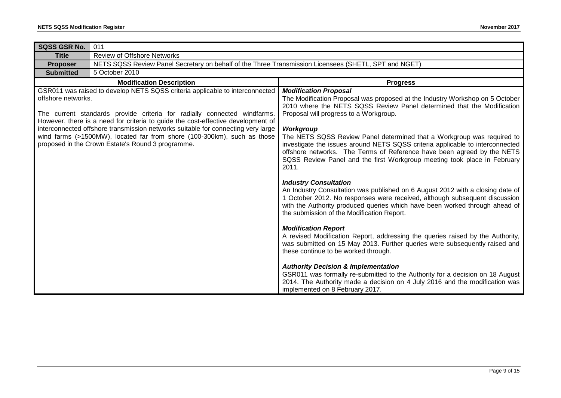| SQSS GSR No.                                                                                                                                                                                                                                                                                                                                                                                                                                                                           | 011                                                                                                  |                                                                                                                                                                                                                                                                                                                                                                                                                                                                                                                                                                                |
|----------------------------------------------------------------------------------------------------------------------------------------------------------------------------------------------------------------------------------------------------------------------------------------------------------------------------------------------------------------------------------------------------------------------------------------------------------------------------------------|------------------------------------------------------------------------------------------------------|--------------------------------------------------------------------------------------------------------------------------------------------------------------------------------------------------------------------------------------------------------------------------------------------------------------------------------------------------------------------------------------------------------------------------------------------------------------------------------------------------------------------------------------------------------------------------------|
| <b>Title</b>                                                                                                                                                                                                                                                                                                                                                                                                                                                                           | <b>Review of Offshore Networks</b>                                                                   |                                                                                                                                                                                                                                                                                                                                                                                                                                                                                                                                                                                |
| <b>Proposer</b>                                                                                                                                                                                                                                                                                                                                                                                                                                                                        | NETS SQSS Review Panel Secretary on behalf of the Three Transmission Licensees (SHETL, SPT and NGET) |                                                                                                                                                                                                                                                                                                                                                                                                                                                                                                                                                                                |
| <b>Submitted</b>                                                                                                                                                                                                                                                                                                                                                                                                                                                                       | 5 October 2010                                                                                       |                                                                                                                                                                                                                                                                                                                                                                                                                                                                                                                                                                                |
|                                                                                                                                                                                                                                                                                                                                                                                                                                                                                        | <b>Modification Description</b>                                                                      | <b>Progress</b>                                                                                                                                                                                                                                                                                                                                                                                                                                                                                                                                                                |
| GSR011 was raised to develop NETS SQSS criteria applicable to interconnected<br>offshore networks.<br>The current standards provide criteria for radially connected windfarms.<br>However, there is a need for criteria to guide the cost-effective development of<br>interconnected offshore transmission networks suitable for connecting very large<br>wind farms (>1500MW), located far from shore (100-300km), such as those<br>proposed in the Crown Estate's Round 3 programme. |                                                                                                      | <b>Modification Proposal</b><br>The Modification Proposal was proposed at the Industry Workshop on 5 October<br>2010 where the NETS SQSS Review Panel determined that the Modification<br>Proposal will progress to a Workgroup.<br><b>Workgroup</b><br>The NETS SQSS Review Panel determined that a Workgroup was required to<br>investigate the issues around NETS SQSS criteria applicable to interconnected<br>offshore networks. The Terms of Reference have been agreed by the NETS<br>SQSS Review Panel and the first Workgroup meeting took place in February<br>2011. |
|                                                                                                                                                                                                                                                                                                                                                                                                                                                                                        |                                                                                                      | <b>Industry Consultation</b><br>An Industry Consultation was published on 6 August 2012 with a closing date of<br>1 October 2012. No responses were received, although subsequent discussion<br>with the Authority produced queries which have been worked through ahead of<br>the submission of the Modification Report.                                                                                                                                                                                                                                                      |
|                                                                                                                                                                                                                                                                                                                                                                                                                                                                                        |                                                                                                      | <b>Modification Report</b><br>A revised Modification Report, addressing the queries raised by the Authority,<br>was submitted on 15 May 2013. Further queries were subsequently raised and<br>these continue to be worked through.                                                                                                                                                                                                                                                                                                                                             |
|                                                                                                                                                                                                                                                                                                                                                                                                                                                                                        |                                                                                                      | <b>Authority Decision &amp; Implementation</b><br>GSR011 was formally re-submitted to the Authority for a decision on 18 August<br>2014. The Authority made a decision on 4 July 2016 and the modification was<br>implemented on 8 February 2017.                                                                                                                                                                                                                                                                                                                              |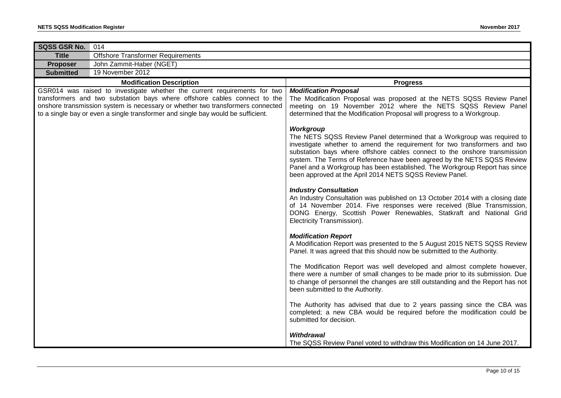| SQSS GSR No.     | 014                                                                                                                                                                                                                                                                                                                          |                                                                                                                                                                                                                                                                                                                                                                                                                                                                   |
|------------------|------------------------------------------------------------------------------------------------------------------------------------------------------------------------------------------------------------------------------------------------------------------------------------------------------------------------------|-------------------------------------------------------------------------------------------------------------------------------------------------------------------------------------------------------------------------------------------------------------------------------------------------------------------------------------------------------------------------------------------------------------------------------------------------------------------|
| <b>Title</b>     | <b>Offshore Transformer Requirements</b>                                                                                                                                                                                                                                                                                     |                                                                                                                                                                                                                                                                                                                                                                                                                                                                   |
| Proposer         | John Zammit-Haber (NGET)                                                                                                                                                                                                                                                                                                     |                                                                                                                                                                                                                                                                                                                                                                                                                                                                   |
| <b>Submitted</b> | 19 November 2012                                                                                                                                                                                                                                                                                                             |                                                                                                                                                                                                                                                                                                                                                                                                                                                                   |
|                  | <b>Modification Description</b>                                                                                                                                                                                                                                                                                              | <b>Progress</b>                                                                                                                                                                                                                                                                                                                                                                                                                                                   |
|                  | GSR014 was raised to investigate whether the current requirements for two<br>transformers and two substation bays where offshore cables connect to the<br>onshore transmission system is necessary or whether two transformers connected<br>to a single bay or even a single transformer and single bay would be sufficient. | <b>Modification Proposal</b><br>The Modification Proposal was proposed at the NETS SQSS Review Panel<br>meeting on 19 November 2012 where the NETS SQSS Review Panel<br>determined that the Modification Proposal will progress to a Workgroup.                                                                                                                                                                                                                   |
|                  |                                                                                                                                                                                                                                                                                                                              | Workgroup<br>The NETS SQSS Review Panel determined that a Workgroup was required to<br>investigate whether to amend the requirement for two transformers and two<br>substation bays where offshore cables connect to the onshore transmission<br>system. The Terms of Reference have been agreed by the NETS SQSS Review<br>Panel and a Workgroup has been established. The Workgroup Report has since<br>been approved at the April 2014 NETS SQSS Review Panel. |
|                  |                                                                                                                                                                                                                                                                                                                              | <b>Industry Consultation</b><br>An Industry Consultation was published on 13 October 2014 with a closing date<br>of 14 November 2014. Five responses were received (Blue Transmission,<br>DONG Energy, Scottish Power Renewables, Statkraft and National Grid<br>Electricity Transmission).                                                                                                                                                                       |
|                  |                                                                                                                                                                                                                                                                                                                              | <b>Modification Report</b><br>A Modification Report was presented to the 5 August 2015 NETS SQSS Review<br>Panel. It was agreed that this should now be submitted to the Authority.                                                                                                                                                                                                                                                                               |
|                  |                                                                                                                                                                                                                                                                                                                              | The Modification Report was well developed and almost complete however,<br>there were a number of small changes to be made prior to its submission. Due<br>to change of personnel the changes are still outstanding and the Report has not<br>been submitted to the Authority.                                                                                                                                                                                    |
|                  |                                                                                                                                                                                                                                                                                                                              | The Authority has advised that due to 2 years passing since the CBA was<br>completed; a new CBA would be required before the modification could be<br>submitted for decision.                                                                                                                                                                                                                                                                                     |
|                  |                                                                                                                                                                                                                                                                                                                              | <b>Withdrawal</b><br>The SQSS Review Panel voted to withdraw this Modification on 14 June 2017.                                                                                                                                                                                                                                                                                                                                                                   |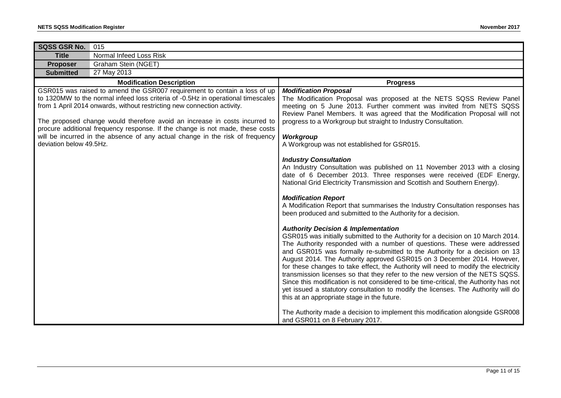| <b>SQSS GSR No.</b><br>015                                                                                                                                                                                                                                                                                                                                                                                                                                                                                          |                                                                                                                                                                                                                                                                                                                                                                                                                                                                                                                                                                                                                                                                                                                                                                                                                                                                                                                                                                                                                                         |
|---------------------------------------------------------------------------------------------------------------------------------------------------------------------------------------------------------------------------------------------------------------------------------------------------------------------------------------------------------------------------------------------------------------------------------------------------------------------------------------------------------------------|-----------------------------------------------------------------------------------------------------------------------------------------------------------------------------------------------------------------------------------------------------------------------------------------------------------------------------------------------------------------------------------------------------------------------------------------------------------------------------------------------------------------------------------------------------------------------------------------------------------------------------------------------------------------------------------------------------------------------------------------------------------------------------------------------------------------------------------------------------------------------------------------------------------------------------------------------------------------------------------------------------------------------------------------|
| Normal Infeed Loss Risk<br><b>Title</b>                                                                                                                                                                                                                                                                                                                                                                                                                                                                             |                                                                                                                                                                                                                                                                                                                                                                                                                                                                                                                                                                                                                                                                                                                                                                                                                                                                                                                                                                                                                                         |
| Graham Stein (NGET)<br><b>Proposer</b>                                                                                                                                                                                                                                                                                                                                                                                                                                                                              |                                                                                                                                                                                                                                                                                                                                                                                                                                                                                                                                                                                                                                                                                                                                                                                                                                                                                                                                                                                                                                         |
| 27 May 2013<br><b>Submitted</b>                                                                                                                                                                                                                                                                                                                                                                                                                                                                                     |                                                                                                                                                                                                                                                                                                                                                                                                                                                                                                                                                                                                                                                                                                                                                                                                                                                                                                                                                                                                                                         |
| <b>Modification Description</b>                                                                                                                                                                                                                                                                                                                                                                                                                                                                                     | <b>Progress</b>                                                                                                                                                                                                                                                                                                                                                                                                                                                                                                                                                                                                                                                                                                                                                                                                                                                                                                                                                                                                                         |
| GSR015 was raised to amend the GSR007 requirement to contain a loss of up<br>to 1320MW to the normal infeed loss criteria of -0.5Hz in operational timescales<br>from 1 April 2014 onwards, without restricting new connection activity.<br>The proposed change would therefore avoid an increase in costs incurred to<br>procure additional frequency response. If the change is not made, these costs<br>will be incurred in the absence of any actual change in the risk of frequency<br>deviation below 49.5Hz. | <b>Modification Proposal</b><br>The Modification Proposal was proposed at the NETS SQSS Review Panel<br>meeting on 5 June 2013. Further comment was invited from NETS SQSS<br>Review Panel Members. It was agreed that the Modification Proposal will not<br>progress to a Workgroup but straight to Industry Consultation.<br>Workgroup<br>A Workgroup was not established for GSR015.<br><b>Industry Consultation</b><br>An Industry Consultation was published on 11 November 2013 with a closing<br>date of 6 December 2013. Three responses were received (EDF Energy,                                                                                                                                                                                                                                                                                                                                                                                                                                                             |
|                                                                                                                                                                                                                                                                                                                                                                                                                                                                                                                     | National Grid Electricity Transmission and Scottish and Southern Energy).<br><b>Modification Report</b><br>A Modification Report that summarises the Industry Consultation responses has<br>been produced and submitted to the Authority for a decision.<br><b>Authority Decision &amp; Implementation</b><br>GSR015 was initially submitted to the Authority for a decision on 10 March 2014.<br>The Authority responded with a number of questions. These were addressed<br>and GSR015 was formally re-submitted to the Authority for a decision on 13<br>August 2014. The Authority approved GSR015 on 3 December 2014. However,<br>for these changes to take effect, the Authority will need to modify the electricity<br>transmission licenses so that they refer to the new version of the NETS SQSS.<br>Since this modification is not considered to be time-critical, the Authority has not<br>yet issued a statutory consultation to modify the licenses. The Authority will do<br>this at an appropriate stage in the future. |
|                                                                                                                                                                                                                                                                                                                                                                                                                                                                                                                     | The Authority made a decision to implement this modification alongside GSR008<br>and GSR011 on 8 February 2017.                                                                                                                                                                                                                                                                                                                                                                                                                                                                                                                                                                                                                                                                                                                                                                                                                                                                                                                         |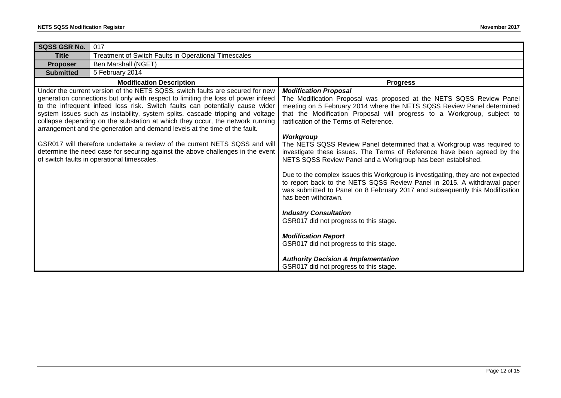| SQSS GSR No.<br>017                                                                                                                                                                                                                           |                                                                                                                                                                                                                                                                     |
|-----------------------------------------------------------------------------------------------------------------------------------------------------------------------------------------------------------------------------------------------|---------------------------------------------------------------------------------------------------------------------------------------------------------------------------------------------------------------------------------------------------------------------|
| Treatment of Switch Faults in Operational Timescales<br><b>Title</b>                                                                                                                                                                          |                                                                                                                                                                                                                                                                     |
| Ben Marshall (NGET)<br><b>Proposer</b>                                                                                                                                                                                                        |                                                                                                                                                                                                                                                                     |
| 5 February 2014<br><b>Submitted</b>                                                                                                                                                                                                           |                                                                                                                                                                                                                                                                     |
| <b>Modification Description</b>                                                                                                                                                                                                               | <b>Progress</b>                                                                                                                                                                                                                                                     |
| Under the current version of the NETS SQSS, switch faults are secured for new                                                                                                                                                                 | <b>Modification Proposal</b>                                                                                                                                                                                                                                        |
| generation connections but only with respect to limiting the loss of power infeed<br>to the infrequent infeed loss risk. Switch faults can potentially cause wider                                                                            | The Modification Proposal was proposed at the NETS SQSS Review Panel<br>meeting on 5 February 2014 where the NETS SQSS Review Panel determined                                                                                                                      |
| system issues such as instability, system splits, cascade tripping and voltage<br>collapse depending on the substation at which they occur, the network running<br>arrangement and the generation and demand levels at the time of the fault. | that the Modification Proposal will progress to a Workgroup, subject to<br>ratification of the Terms of Reference.                                                                                                                                                  |
|                                                                                                                                                                                                                                               | <b>Workgroup</b>                                                                                                                                                                                                                                                    |
| GSR017 will therefore undertake a review of the current NETS SQSS and will<br>determine the need case for securing against the above challenges in the event<br>of switch faults in operational timescales.                                   | The NETS SQSS Review Panel determined that a Workgroup was required to<br>investigate these issues. The Terms of Reference have been agreed by the<br>NETS SQSS Review Panel and a Workgroup has been established.                                                  |
|                                                                                                                                                                                                                                               |                                                                                                                                                                                                                                                                     |
|                                                                                                                                                                                                                                               | Due to the complex issues this Workgroup is investigating, they are not expected<br>to report back to the NETS SQSS Review Panel in 2015. A withdrawal paper<br>was submitted to Panel on 8 February 2017 and subsequently this Modification<br>has been withdrawn. |
|                                                                                                                                                                                                                                               | <b>Industry Consultation</b>                                                                                                                                                                                                                                        |
|                                                                                                                                                                                                                                               | GSR017 did not progress to this stage.                                                                                                                                                                                                                              |
|                                                                                                                                                                                                                                               | <b>Modification Report</b>                                                                                                                                                                                                                                          |
|                                                                                                                                                                                                                                               | GSR017 did not progress to this stage.                                                                                                                                                                                                                              |
|                                                                                                                                                                                                                                               | <b>Authority Decision &amp; Implementation</b><br>GSR017 did not progress to this stage.                                                                                                                                                                            |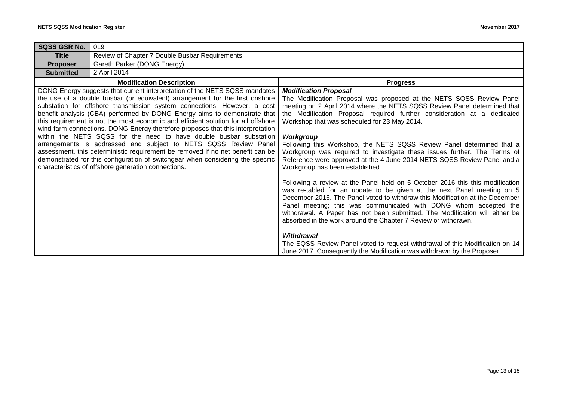| SQSS GSR No.                                                                                                                                                                                                                                                                                                                                                                                                                                                                                                                                                                                                                                                                                                                                                                                                                                                   | 019                                            |                                                                                                                                                                                                                                                                                                                                                                                                                                                                                                                                                                                                                                       |
|----------------------------------------------------------------------------------------------------------------------------------------------------------------------------------------------------------------------------------------------------------------------------------------------------------------------------------------------------------------------------------------------------------------------------------------------------------------------------------------------------------------------------------------------------------------------------------------------------------------------------------------------------------------------------------------------------------------------------------------------------------------------------------------------------------------------------------------------------------------|------------------------------------------------|---------------------------------------------------------------------------------------------------------------------------------------------------------------------------------------------------------------------------------------------------------------------------------------------------------------------------------------------------------------------------------------------------------------------------------------------------------------------------------------------------------------------------------------------------------------------------------------------------------------------------------------|
| <b>Title</b>                                                                                                                                                                                                                                                                                                                                                                                                                                                                                                                                                                                                                                                                                                                                                                                                                                                   | Review of Chapter 7 Double Busbar Requirements |                                                                                                                                                                                                                                                                                                                                                                                                                                                                                                                                                                                                                                       |
| <b>Proposer</b>                                                                                                                                                                                                                                                                                                                                                                                                                                                                                                                                                                                                                                                                                                                                                                                                                                                | Gareth Parker (DONG Energy)                    |                                                                                                                                                                                                                                                                                                                                                                                                                                                                                                                                                                                                                                       |
| <b>Submitted</b>                                                                                                                                                                                                                                                                                                                                                                                                                                                                                                                                                                                                                                                                                                                                                                                                                                               | 2 April 2014                                   |                                                                                                                                                                                                                                                                                                                                                                                                                                                                                                                                                                                                                                       |
|                                                                                                                                                                                                                                                                                                                                                                                                                                                                                                                                                                                                                                                                                                                                                                                                                                                                | <b>Modification Description</b>                | <b>Progress</b>                                                                                                                                                                                                                                                                                                                                                                                                                                                                                                                                                                                                                       |
| DONG Energy suggests that current interpretation of the NETS SQSS mandates<br>the use of a double busbar (or equivalent) arrangement for the first onshore<br>substation for offshore transmission system connections. However, a cost<br>benefit analysis (CBA) performed by DONG Energy aims to demonstrate that<br>this requirement is not the most economic and efficient solution for all offshore<br>wind-farm connections. DONG Energy therefore proposes that this interpretation<br>within the NETS SQSS for the need to have double busbar substation<br>arrangements is addressed and subject to NETS SQSS Review Panel<br>assessment, this deterministic requirement be removed if no net benefit can be<br>demonstrated for this configuration of switchgear when considering the specific<br>characteristics of offshore generation connections. |                                                | <b>Modification Proposal</b><br>The Modification Proposal was proposed at the NETS SQSS Review Panel<br>meeting on 2 April 2014 where the NETS SQSS Review Panel determined that<br>the Modification Proposal required further consideration at a dedicated<br>Workshop that was scheduled for 23 May 2014.<br>Workgroup<br>Following this Workshop, the NETS SQSS Review Panel determined that a<br>Workgroup was required to investigate these issues further. The Terms of<br>Reference were approved at the 4 June 2014 NETS SQSS Review Panel and a<br>Workgroup has been established.                                           |
|                                                                                                                                                                                                                                                                                                                                                                                                                                                                                                                                                                                                                                                                                                                                                                                                                                                                |                                                | Following a review at the Panel held on 5 October 2016 this this modification<br>was re-tabled for an update to be given at the next Panel meeting on 5<br>December 2016. The Panel voted to withdraw this Modification at the December<br>Panel meeting; this was communicated with DONG whom accepted the<br>withdrawal. A Paper has not been submitted. The Modification will either be<br>absorbed in the work around the Chapter 7 Review or withdrawn.<br>Withdrawal<br>The SQSS Review Panel voted to request withdrawal of this Modification on 14<br>June 2017. Consequently the Modification was withdrawn by the Proposer. |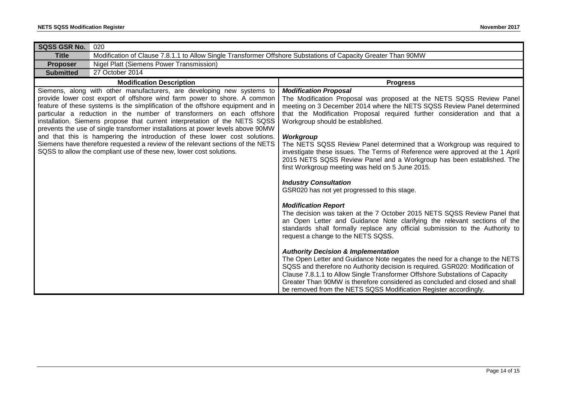| SQSS GSR No.                                                                                                                                                                                                                                                                                                                                                                                                                                                                                                                                                                                                                                                                                                           | 020                                                                                                           |                                                                                                                                                                                                                                                                                                                                                                                                                                                                                                                                                                                                     |
|------------------------------------------------------------------------------------------------------------------------------------------------------------------------------------------------------------------------------------------------------------------------------------------------------------------------------------------------------------------------------------------------------------------------------------------------------------------------------------------------------------------------------------------------------------------------------------------------------------------------------------------------------------------------------------------------------------------------|---------------------------------------------------------------------------------------------------------------|-----------------------------------------------------------------------------------------------------------------------------------------------------------------------------------------------------------------------------------------------------------------------------------------------------------------------------------------------------------------------------------------------------------------------------------------------------------------------------------------------------------------------------------------------------------------------------------------------------|
| <b>Title</b>                                                                                                                                                                                                                                                                                                                                                                                                                                                                                                                                                                                                                                                                                                           | Modification of Clause 7.8.1.1 to Allow Single Transformer Offshore Substations of Capacity Greater Than 90MW |                                                                                                                                                                                                                                                                                                                                                                                                                                                                                                                                                                                                     |
| <b>Proposer</b>                                                                                                                                                                                                                                                                                                                                                                                                                                                                                                                                                                                                                                                                                                        | <b>Nigel Platt (Siemens Power Transmission)</b>                                                               |                                                                                                                                                                                                                                                                                                                                                                                                                                                                                                                                                                                                     |
| 27 October 2014<br><b>Submitted</b>                                                                                                                                                                                                                                                                                                                                                                                                                                                                                                                                                                                                                                                                                    |                                                                                                               |                                                                                                                                                                                                                                                                                                                                                                                                                                                                                                                                                                                                     |
|                                                                                                                                                                                                                                                                                                                                                                                                                                                                                                                                                                                                                                                                                                                        | <b>Modification Description</b>                                                                               | <b>Progress</b>                                                                                                                                                                                                                                                                                                                                                                                                                                                                                                                                                                                     |
| Siemens, along with other manufacturers, are developing new systems to<br>provide lower cost export of offshore wind farm power to shore. A common<br>feature of these systems is the simplification of the offshore equipment and in<br>particular a reduction in the number of transformers on each offshore<br>installation. Siemens propose that current interpretation of the NETS SQSS<br>prevents the use of single transformer installations at power levels above 90MW<br>and that this is hampering the introduction of these lower cost solutions.<br>Siemens have therefore requested a review of the relevant sections of the NETS<br>SQSS to allow the compliant use of these new, lower cost solutions. |                                                                                                               | <b>Modification Proposal</b><br>The Modification Proposal was proposed at the NETS SQSS Review Panel<br>meeting on 3 December 2014 where the NETS SQSS Review Panel determined<br>that the Modification Proposal required further consideration and that a<br>Workgroup should be established.<br>Workgroup<br>The NETS SQSS Review Panel determined that a Workgroup was required to<br>investigate these issues. The Terms of Reference were approved at the 1 April<br>2015 NETS SQSS Review Panel and a Workgroup has been established. The<br>first Workgroup meeting was held on 5 June 2015. |
|                                                                                                                                                                                                                                                                                                                                                                                                                                                                                                                                                                                                                                                                                                                        |                                                                                                               | <b>Industry Consultation</b><br>GSR020 has not yet progressed to this stage.                                                                                                                                                                                                                                                                                                                                                                                                                                                                                                                        |
|                                                                                                                                                                                                                                                                                                                                                                                                                                                                                                                                                                                                                                                                                                                        |                                                                                                               | <b>Modification Report</b><br>The decision was taken at the 7 October 2015 NETS SQSS Review Panel that<br>an Open Letter and Guidance Note clarifying the relevant sections of the<br>standards shall formally replace any official submission to the Authority to<br>request a change to the NETS SQSS.                                                                                                                                                                                                                                                                                            |
|                                                                                                                                                                                                                                                                                                                                                                                                                                                                                                                                                                                                                                                                                                                        |                                                                                                               | <b>Authority Decision &amp; Implementation</b><br>The Open Letter and Guidance Note negates the need for a change to the NETS<br>SQSS and therefore no Authority decision is required. GSR020: Modification of<br>Clause 7.8.1.1 to Allow Single Transformer Offshore Substations of Capacity<br>Greater Than 90MW is therefore considered as concluded and closed and shall<br>be removed from the NETS SQSS Modification Register accordingly.                                                                                                                                                    |